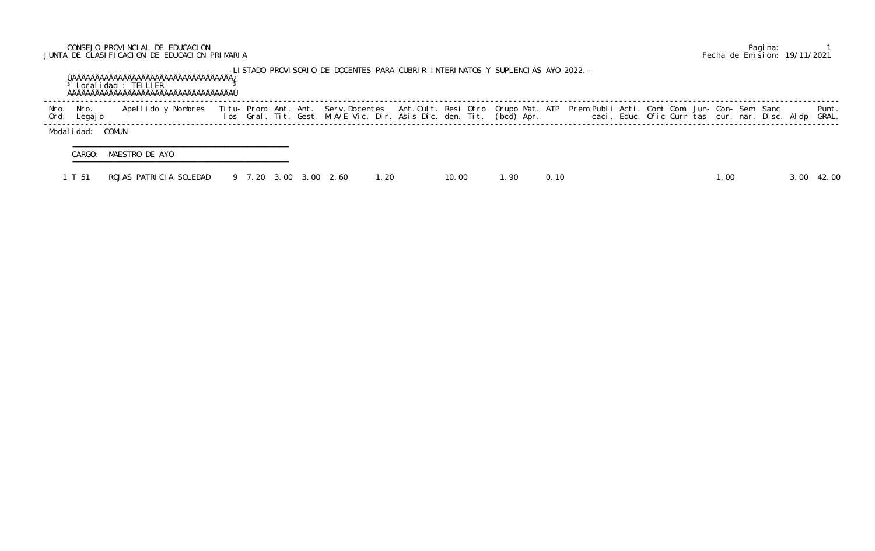## CONSEJO PROVINCIAL DE EDUCACION Pagina: 1 JUNTA DE CLASIFICACION DE EDUCACION PRIMARIA Fecha de Emision: 19/11/2021

|              |                 | $3$ Local i dad : TELLIER |                       |  | LISTADO PROVISORIO DE DOCENTES PARA CUBRIR INTERINATOS Y SUPLENCIAS A¥O 2022. –                                                                                                                                                   |       |       |        |      |  |  |  |        |  |                |
|--------------|-----------------|---------------------------|-----------------------|--|-----------------------------------------------------------------------------------------------------------------------------------------------------------------------------------------------------------------------------------|-------|-------|--------|------|--|--|--|--------|--|----------------|
| Nro.<br>Ord. | Nro.<br>Legaj o | Apellido y Nombres        |                       |  | Titu- Prom. Ant. Ant. Serv.Docentes  Ant.Cult. Resi Otro Grupo Mat. ATP  Prem Publi Acti. Comi Comi Jun- Con- Semi Sanc<br>Ios  Gral. Tit. Gest. M.A/E Vic. Dir. Asis Dic. den. Tit. (bcd) Apr.                caci. Educ. Ofic C |       |       |        |      |  |  |  |        |  | Punt.<br>GRAL. |
|              | Modalidad:      | COMUN                     |                       |  |                                                                                                                                                                                                                                   |       |       |        |      |  |  |  |        |  |                |
|              | CARGO:          | MAESTRO DE A¥O            |                       |  |                                                                                                                                                                                                                                   |       |       |        |      |  |  |  |        |  |                |
|              | T 51            | ROJAS PATRICIA SOLEDAD    | 9 7.20 3.00 3.00 2.60 |  |                                                                                                                                                                                                                                   | 1. 20 | 10.00 | . . 90 | 0.10 |  |  |  | . . 00 |  | 42.00          |